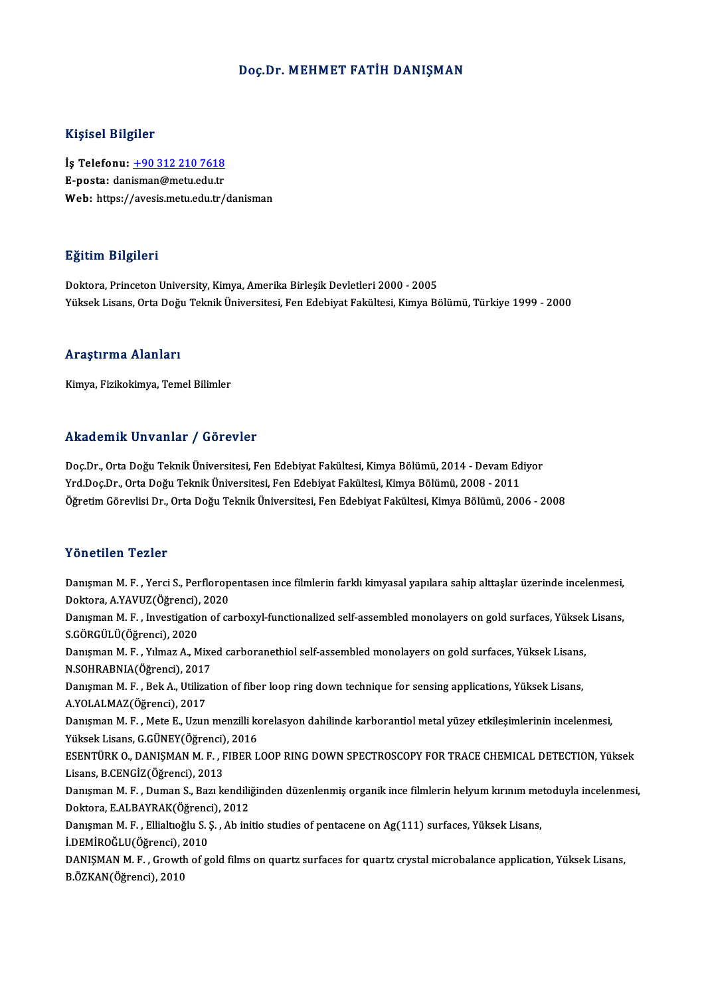### Doç.Dr. MEHMET FATİH DANIŞMAN

### Kişisel Bilgiler

Kişisel Bilgiler<br>İş Telefonu: <u>+90 312 210 7618</u><br>E nosta: danisman@matu.cdu.tr 1191001 Dugnot<br>İş Telefonu: <u>+90 312 210 7618</u><br>E-posta: dan[isman@metu.edu.tr](tel:+90 312 210 7618) E-posta: danisman@metu.edu.tr<br>Web: https://avesis.metu.edu.tr/danisman

### Eğitim Bilgileri

Doktora, Princeton University, Kimya, Amerika Birleşik Devletleri 2000 - 2005 YüksekLisans,OrtaDoğuTeknikÜniversitesi,FenEdebiyatFakültesi,KimyaBölümü,Türkiye 1999 -2000

### Araştırma Alanları

Kimya, Fizikokimya, Temel Bilimler

### Akademik Unvanlar / Görevler

Doç.Dr., Orta Doğu Teknik Üniversitesi, Fen Edebiyat Fakültesi, Kimya Bölümü, 2014 - Devam Ediyor Yrnaa Sirin.<br>Doç.Dr., Orta Doğu Teknik Üniversitesi, Fen Edebiyat Fakültesi, Kimya Bölümü, 2014 - Devam Ed<br>Yrd.Doç.Dr., Orta Doğu Teknik Üniversitesi, Fen Edebiyat Fakültesi, Kimya Bölümü, 2008 - 2011<br>Öğretim Cörevlisi Dr. Doç.Dr., Orta Doğu Teknik Üniversitesi, Fen Edebiyat Fakültesi, Kimya Bölümü, 2014 - Devam Ediyor<br>Yrd.Doç.Dr., Orta Doğu Teknik Üniversitesi, Fen Edebiyat Fakültesi, Kimya Bölümü, 2008 - 2011<br>Öğretim Görevlisi Dr., Orta Do Öğretim Görevlisi Dr., Orta Doğu Teknik Üniversitesi, Fen Edebiyat Fakültesi, Kimya Bölümü, 2006 - 2008<br>Yönetilen Tezler

Yönetilen Tezler<br>Danışman M. F. , Yerci S., Perfloropentasen ince filmlerin farklı kimyasal yapılara sahip alttaşlar üzerinde incelenmesi,<br>Dektara A.YAVUZ(Öğrensi), 2020 1 Oncencir 1 Oncenci<br>Danişman M. F. , Yerci S., Perflorop<br>Doktora, A.YAVUZ(Öğrenci), 2020<br>Danisman M. E., Investigation of ca Danışman M. F. , Yerci S., Perfloropentasen ince filmlerin farklı kimyasal yapılara sahip alttaşlar üzerinde incelenmesi,<br>Doktora, A.YAVUZ(Öğrenci), 2020<br>Danışman M. F. , Investigation of carboxyl-functionalized self-assem Doktora, A.YAVUZ(Öğrenci),<br>Danışman M. F. , Investigatio<br>S.GÖRGÜLÜ(Öğrenci), 2020<br>Danısman M. E. , Yılmaz A. M Danışman M. F. , Investigation of carboxyl-functionalized self-assembled monolayers on gold surfaces, Yüksek<br>S.GÖRGÜLÜ(Öğrenci), 2020<br>Danışman M. F. , Yılmaz A., Mixed carboranethiol self-assembled monolayers on gold surfa S.GÖRGÜLÜ(Öğrenci), 2020<br>Danışman M. F. , Yılmaz A., Mixe<br>N.SOHRABNIA(Öğrenci), 2017<br>Danısman M. E., Bok A., Utilizat Danışman M. F. , Yılmaz A., Mixed carboranethiol self-assembled monolayers on gold surfaces, Yüksek Lisans,<br>N.SOHRABNIA(Öğrenci), 2017<br>Danışman M. F. , Bek A., Utilization of fiber loop ring down technique for sensing appl N.SOHRABNIA(Öğrenci), 2017<br>Danışman M. F. , Bek A., Utilization of fiber loop ring down technique for sensing applications, Yüksek Lisans,<br>A.YOLALMAZ(Öğrenci), 2017 Danışman M. F. , Bek A., Utilization of fiber loop ring down technique for sensing applications, Yüksek Lisans,<br>A.YOLALMAZ(Öğrenci), 2017<br>Danışman M. F. , Mete E., Uzun menzilli korelasyon dahilinde karborantiol metal yüze A.YOLALMAZ(Öğrenci), 2017<br>Danışman M. F. , Mete E., Uzun menzilli ko<br>Yüksek Lisans, G.GÜNEY(Öğrenci), 2016<br>ESENTÜRK O. DANISMAN M. E., EIRER L Danışman M. F. , Mete E., Uzun menzilli korelasyon dahilinde karborantiol metal yüzey etkileşimlerinin incelenmesi,<br>Yüksek Lisans, G.GÜNEY(Öğrenci), 2016<br>ESENTÜRK O., DANIŞMAN M. F. , FIBER LOOP RING DOWN SPECTROSCOPY FOR Yüksek Lisans, G.GÜNEY(Öğrenci)<br>ESENTÜRK O., DANIŞMAN M. F. , F<br>Lisans, B.CENGİZ(Öğrenci), 2013<br>Danısman M. E., Duman S. Bazı ke ESENTÜRK O., DANIŞMAN M. F. , FIBER LOOP RING DOWN SPECTROSCOPY FOR TRACE CHEMICAL DETECTION, Yüksek<br>Lisans, B.CENGİZ(Öğrenci), 2013<br>Danışman M. F. , Duman S., Bazı kendiliğinden düzenlenmiş organik ince filmlerin helyum k Lisans, B.CENGİZ(Öğrenci), 2013<br>Danışman M. F. , Duman S., Bazı kendili<sub>l</sub><br>Doktora, E.ALBAYRAK(Öğrenci), 2012<br>Danısman M. E., Filialtağlu S. S., Ab ini Danışman M. F. , Duman S., Bazı kendiliğinden düzenlenmiş organik ince filmlerin helyum kırınım metoduyla incelenmesi,<br>Doktora, E.ALBAYRAK(Öğrenci), 2012<br>Danışman M. F. , Ellialtıoğlu S. Ş. , Ab initio studies of pentacene Doktora, E.ALBAYRAK(Öğrenc<br>Danışman M. F. , Ellialtıoğlu S. ;<br>İ.DEMİROĞLU(Öğrenci), 2010<br>DANISMAN M. E., Grouth of g. Danışman M. F. , Ellialtıoğlu S. Ş. , Ab initio studies of pentacene on Ag(111) surfaces, Yüksek Lisans,<br>İ.DEMİROĞLU(Öğrenci), 2010<br>DANIŞMAN M. F. , Growth of gold films on quartz surfaces for quartz crystal microbalance a İ.DEMİROĞLU(Öğrenci), 2<br>DANIŞMAN M. F. , Growtl<br>B.ÖZKAN(Öğrenci), 2010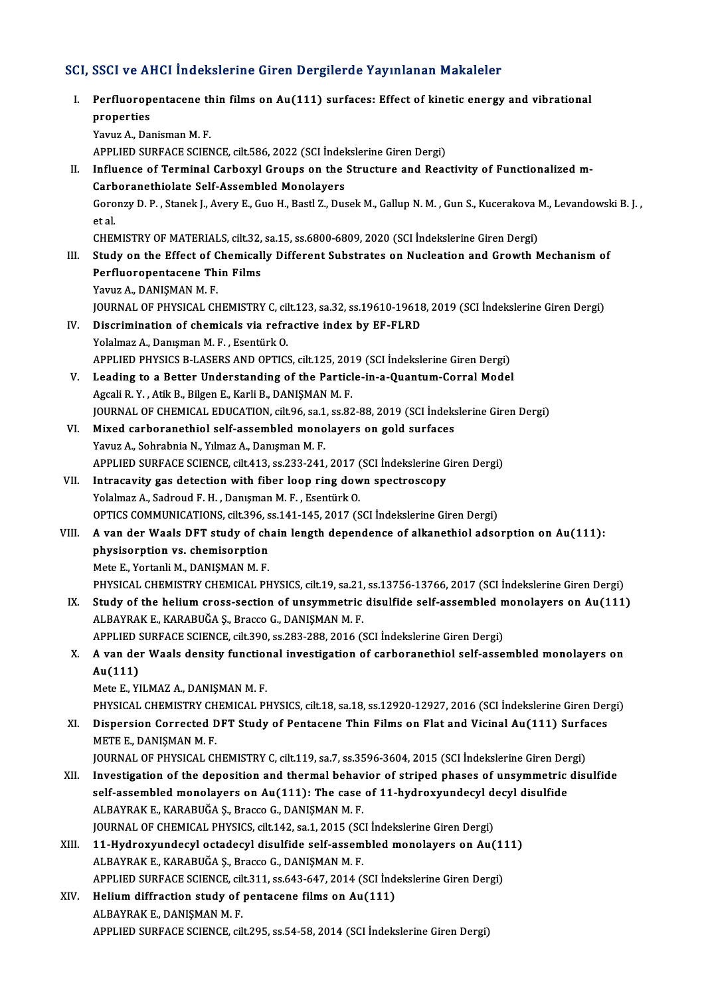## SCI, SSCI ve AHCI İndekslerine Giren Dergilerde Yayınlanan Makaleler

I. Perfluoropentacene thin films on Au(111) surfaces: Effect of kinetic energy and vibrational perties<br>Perfluorop<br>properties<br><sup>Voruz</sup> A. Dei Perfluoropentacene th<br>properties<br>Yavuz A., Danisman M. F.<br>APPLIED SUREACE SCIEN properties<br>Yavuz A., Danisman M. F.<br>APPLIED SURFACE SCIENCE, cilt.586, 2022 (SCI İndekslerine Giren Dergi) Yavuz A., Danisman M. F.<br>APPLIED SURFACE SCIENCE, cilt.586, 2022 (SCI İndekslerine Giren Dergi)<br>II. Influence of Terminal Carboxyl Groups on the Structure and Reactivity of Functionalized m-<br>Carboranathialate Self Assemble APPLIED SURFACE SCIENCE, cilt.586, 2022 (SCI İndel<br>Influence of Terminal Carboxyl Groups on the<br>Carboranethiolate Self-Assembled Monolayers<br>Caronwy D. B., Stanek L. Ayew E. Cuo H. Bestl Z. Duc Influence of Terminal Carboxyl Groups on the Structure and Reactivity of Functionalized m-<br>Carboranethiolate Self-Assembled Monolayers<br>Goronzy D. P. , Stanek J., Avery E., Guo H., Bastl Z., Dusek M., Gallup N. M. , Gun S., Carb<br>Goro<br>et al.<br>CHEN Goronzy D. P. , Stanek J., Avery E., Guo H., Bastl Z., Dusek M., Gallup N. M. , Gun S., Kucerakova I<br>et al.<br>CHEMISTRY OF MATERIALS, cilt.32, sa.15, ss.6800-6809, 2020 (SCI İndekslerine Giren Dergi)<br>Study on the Effect of C et al.<br>CHEMISTRY OF MATERIALS, cilt.32, sa.15, ss.6800-6809, 2020 (SCI Indekslerine Giren Dergi)<br>III. Study on the Effect of Chemically Different Substrates on Nucleation and Growth Mechanism of<br>Perfluoropentacene Thin Fil CHEMISTRY OF MATERIALS, cilt.32, sa.15, ss.6800-6809, 2020 (SCI Indekslerine Giren Dergi) Yavuz A., DANIŞMAN M.F. Perfluoropentacene Thin Films<br>Yavuz A., DANIŞMAN M. F.<br>JOURNAL OF PHYSICAL CHEMISTRY C, cilt.123, sa.32, ss.19610-19618, 2019 (SCI İndekslerine Giren Dergi)<br>Disarimination of shamisals via refrastive index by EE ELPD. Yavuz A., DANIŞMAN M. F.<br>JOURNAL OF PHYSICAL CHEMISTRY C, cilt.123, sa.32, ss.19610-19618<br>IV. Discrimination of chemicals via refractive index by EF-FLRD<br>Volalmaz A. Danisman M. E. Esentijuk O. IV. Discrimination of chemicals via refractive index by EF-FLRD<br>Yolalmaz A., Danışman M. F., Esentürk O. Discrimination of chemicals via refractive index by EF-FLRD<br>Yolalmaz A., Danışman M. F. , Esentürk O.<br>APPLIED PHYSICS B-LASERS AND OPTICS, cilt.125, 2019 (SCI İndekslerine Giren Dergi)<br>Looding to a Petter Understanding of Yolalmaz A., Danişman M. F., Esentürk O.<br>APPLIED PHYSICS B-LASERS AND OPTICS, cilt.125, 2019 (SCI İndekslerine Giren Dergi)<br>V. Leading to a Better Understanding of the Particle-in-a-Quantum-Corral Model<br>Agesli B. V., Atil: APPLIED PHYSICS B-LASERS AND OPTICS, cilt.125, 201<br>Leading to a Better Understanding of the Particl<br>Agcali R.Y., Atik B., Bilgen E., Karli B., DANIŞMAN M.F.<br>JOUPNAL OF CHEMICAL EDUCATION, silt 96, 82,1, 82,83 V. Leading to a Better Understanding of the Particle-in-a-Quantum-Corral Model<br>Agcali R.Y., Atik B., Bilgen E., Karli B., DANIŞMAN M. F.<br>JOURNAL OF CHEMICAL EDUCATION, cilt.96, sa.1, ss.82-88, 2019 (SCI İndekslerine Giren VI. Mixed carboranethiol self-assembled monolayers on gold surfaces Yavuz A., Sohrabnia N., Yılmaz A., Danışman M. F. Mixed carboranethiol self-assembled monolayers on gold surfaces<br>Yavuz A., Sohrabnia N., Yılmaz A., Danışman M. F.<br>APPLIED SURFACE SCIENCE, cilt.413, ss.233-241, 2017 (SCI İndekslerine Giren Dergi)<br>Intrecevity gee detection Yavuz A., Sohrabnia N., Yılmaz A., Danışman M. F.<br>APPLIED SURFACE SCIENCE, cilt.413, ss.233-241, 2017 (SCI İndekslerine G<br>VII. Intracavity gas detection with fiber loop ring down spectroscopy<br>Velalmaz A. Sadroud E. H., Dan VII. Intracavity gas detection with fiber loop ring down spectroscopy<br>Yolalmaz A., Sadroud F. H. , Danışman M. F. , Esentürk O. OPTICS COMMUNICATIONS, cilt.396, ss.141-145, 2017 (SCI İndekslerine Giren Dergi) VIII. A van der Waals DFT study of chain length dependence of alkanethiol adsorption on Au(111): OPTICS COMMUNICATIONS, cilt.396, s<br>A van der Waals DFT study of chemisorption<br>physisorption vs. chemisorption<br>Mete E Yortanli M, DANISMAN M, E A van der Waals DFT study of ch<br>physisorption vs. chemisorption<br>Mete E., Yortanli M., DANIŞMAN M. F.<br>physical Chemistey Chemical Ph physisorption vs. chemisorption<br>Mete E., Yortanli M., DANIŞMAN M. F.<br>PHYSICAL CHEMISTRY CHEMICAL PHYSICS, cilt.19, sa.21, ss.13756-13766, 2017 (SCI İndekslerine Giren Dergi)<br>Study of the belium gress sestien of unsummetris Mete E., Yortanli M., DANIŞMAN M. F.<br>PHYSICAL CHEMISTRY CHEMICAL PHYSICS, cilt.19, sa.21, ss.13756-13766, 2017 (SCI İndekslerine Giren Dergi)<br>IX. Study of the helium cross-section of unsymmetric disulfide self-assembled mo PHYSICAL CHEMISTRY CHEMICAL PHYSICS, cilt.19, sa.21,<br>Study of the helium cross-section of unsymmetric<br>ALBAYRAK E., KARABUĞA Ş., Bracco G., DANIŞMAN M. F.<br>APPLIED SUPEACE SCIENCE, gilt 200, ss.292, 299, 2016. (S Study of the helium cross-section of unsymmetric disulfide self-assembled n<br>ALBAYRAK E., KARABUĞA Ş., Bracco G., DANIŞMAN M. F.<br>APPLIED SURFACE SCIENCE, cilt.390, ss.283-288, 2016 (SCI İndekslerine Giren Dergi)<br>A uan der W ALBAYRAK E., KARABUĞA Ş., Bracco G., DANIŞMAN M. F.<br>APPLIED SURFACE SCIENCE, cilt.390, ss.283-288, 2016 (SCI İndekslerine Giren Dergi)<br>X. A van der Waals density functional investigation of carboranethiol self-assemble APPLIED SURFACE SCIENCE, cilt.390, ss.283-288, 2016 (SCI Indekslerine Giren Dergi)<br>A van der Waals density functional investigation of carboranethiol self-asse<br>Au(111)<br>Mete E., YILMAZ A., DANIŞMAN M. F. A van der Waals density function<br>Au(111)<br>Mete E., YILMAZ A., DANIŞMAN M. F.<br>PHYSICAL CHEMISTRY CHEMICAL PI Au(111)<br>Mete E., YILMAZ A., DANIŞMAN M. F.<br>PHYSICAL CHEMISTRY CHEMICAL PHYSICS, cilt.18, sa.18, ss.12920-12927, 2016 (SCI İndekslerine Giren Dergi)<br>Dianonajan Connected DET Study of Bentagene Thin Eilme en Elet and Visinel XI. Dispersion Corrected DFT Study of Pentacene Thin Films on Flat and Vicinal Au(111) Surfaces PHYSICAL CHEMISTRY CH<br>Dispersion Corrected L<br>METE E., DANIŞMAN M. F.<br>JOUPNAL OF PHYSICAL CH Dispersion Corrected DFT Study of Pentacene Thin Films on Flat and Vicinal Au(111) Surfa<br>METE E., DANIŞMAN M.F.<br>JOURNAL OF PHYSICAL CHEMISTRY C, cilt.119, sa.7, ss.3596-3604, 2015 (SCI İndekslerine Giren Dergi)<br>Investigati METE E., DANIŞMAN M. F.<br>JOURNAL OF PHYSICAL CHEMISTRY C, cilt.119, sa.7, ss.3596-3604, 2015 (SCI indekslerine Giren Dergi)<br>XII. Investigation of the deposition and thermal behavior of striped phases of unsymmetric disulfid JOURNAL OF PHYSICAL CHEMISTRY C, cilt.119, sa.7, ss.3596-3604, 2015 (SCI Indekslerine Giren Der Investigation of the deposition and thermal behavior of striped phases of unsymmetric<br>self-assembled monolayers on Au(111): Th Investigation of the deposition and thermal behav<br>self-assembled monolayers on Au(111): The case<br>ALBAYRAK E., KARABUĞA Ş., Bracco G., DANIŞMAN M. F.<br>JOUPMAL OF CHEMICAL PHYSICS silt 142 sa 1 2015 (SC self-assembled monolayers on Au(111): The case of 11-hydroxyundecyl decyl disulfide<br>ALBAYRAK E., KARABUĞA Ş., Bracco G., DANIŞMAN M. F.<br>JOURNAL OF CHEMICAL PHYSICS, cilt.142, sa.1, 2015 (SCI İndekslerine Giren Dergi) ALBAYRAK E., KARABUĞA Ş., Bracco G., DANIŞMAN M. F.<br>JOURNAL OF CHEMICAL PHYSICS, cilt.142, sa.1, 2015 (SCI İndekslerine Giren Dergi)<br>XIII. 11-Hydroxyundecyl octadecyl disulfide self-assembled monolayers on Au(111)<br>ALBAYBAK JOURNAL OF CHEMICAL PHYSICS, cilt.142, sa.1, 2015 (SC<br>11-Hydroxyundecyl octadecyl disulfide self-assem<br>ALBAYRAK E., KARABUĞA Ş., Bracco G., DANIŞMAN M. F.<br>APPLIED SUPEACE SCIENCE, gilt.211, se 642, 647, 2014 (S 11-Hydroxyundecyl octadecyl disulfide self-assembled monolayers on Au(1:<br>ALBAYRAK E., KARABUĞA Ş., Bracco G., DANIŞMAN M. F.<br>APPLIED SURFACE SCIENCE, cilt.311, ss.643-647, 2014 (SCI İndekslerine Giren Dergi)<br>Helium diffrac ALBAYRAK E., KARABUĞA Ş., Bracco G., DANIŞMAN M. F.<br>APPLIED SURFACE SCIENCE, cilt.311, ss.643-647, 2014 (SCI İnd<br>XIV. Helium diffraction study of pentacene films on Au(111)<br>ALBAYBAY E. DANISMAN M. E APPLIED SURFACE SCIENCE, cilt.311, ss.643-647, 2014 (SCI İndekslerine Giren Dergi)<br>Helium diffraction study of pentacene films on Au(111)<br>ALBAYRAK E., DANIŞMAN M. F. APPLIED SURFACE SCIENCE, cilt.295, ss.54-58, 2014 (SCI İndekslerine Giren Dergi)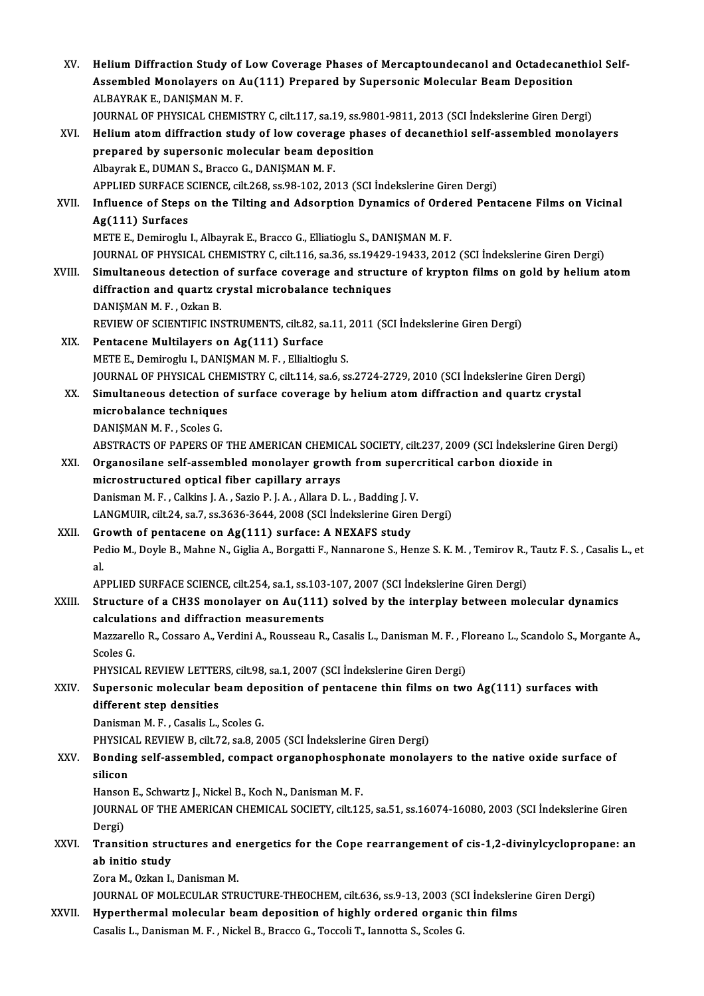| XV.    | Helium Diffraction Study of Low Coverage Phases of Mercaptoundecanol and Octadecanethiol Self-<br>Assembled Monolayers on Au(111) Prepared by Supersonic Molecular Beam Deposition |
|--------|------------------------------------------------------------------------------------------------------------------------------------------------------------------------------------|
|        | ALBAYRAK E., DANIŞMAN M.F.                                                                                                                                                         |
|        | JOURNAL OF PHYSICAL CHEMISTRY C, cilt.117, sa.19, ss.9801-9811, 2013 (SCI Indekslerine Giren Dergi)                                                                                |
| XVI.   | Helium atom diffraction study of low coverage phases of decanethiol self-assembled monolayers                                                                                      |
|        | prepared by supersonic molecular beam deposition                                                                                                                                   |
|        | Albayrak E., DUMAN S., Bracco G., DANIŞMAN M.F.                                                                                                                                    |
|        | APPLIED SURFACE SCIENCE, cilt.268, ss.98-102, 2013 (SCI İndekslerine Giren Dergi)                                                                                                  |
| XVII.  | Influence of Steps on the Tilting and Adsorption Dynamics of Ordered Pentacene Films on Vicinal                                                                                    |
|        | Ag(111) Surfaces                                                                                                                                                                   |
|        | METE E., Demiroglu I., Albayrak E., Bracco G., Elliatioglu S., DANISMAN M. F.                                                                                                      |
|        | JOURNAL OF PHYSICAL CHEMISTRY C, cilt.116, sa.36, ss.19429-19433, 2012 (SCI İndekslerine Giren Dergi)                                                                              |
| XVIII. | Simultaneous detection of surface coverage and structure of krypton films on gold by helium atom                                                                                   |
|        | diffraction and quartz crystal microbalance techniques                                                                                                                             |
|        | DANISMAN M F, Ozkan B.                                                                                                                                                             |
|        | REVIEW OF SCIENTIFIC INSTRUMENTS, cilt.82, sa.11, 2011 (SCI Indekslerine Giren Dergi)                                                                                              |
| XIX.   | Pentacene Multilayers on Ag(111) Surface                                                                                                                                           |
|        | METE E., Demiroglu I., DANIŞMAN M. F., Ellialtioglu S.                                                                                                                             |
|        | JOURNAL OF PHYSICAL CHEMISTRY C, cilt.114, sa.6, ss.2724-2729, 2010 (SCI Indekslerine Giren Dergi)                                                                                 |
| XX.    | Simultaneous detection of surface coverage by helium atom diffraction and quartz crystal                                                                                           |
|        | microbalance techniques                                                                                                                                                            |
|        | DANIŞMAN M. F., Scoles G.                                                                                                                                                          |
|        | ABSTRACTS OF PAPERS OF THE AMERICAN CHEMICAL SOCIETY, cilt.237, 2009 (SCI İndekslerine Giren Dergi)                                                                                |
| XXI.   | Organosilane self-assembled monolayer growth from supercritical carbon dioxide in                                                                                                  |
|        | microstructured optical fiber capillary arrays                                                                                                                                     |
|        | Danisman M. F., Calkins J. A., Sazio P. J. A., Allara D. L., Badding J. V.                                                                                                         |
|        | LANGMUIR, cilt 24, sa 7, ss 3636-3644, 2008 (SCI İndekslerine Giren Dergi)                                                                                                         |
| XXII.  | Growth of pentacene on Ag(111) surface: A NEXAFS study                                                                                                                             |
|        | Pedio M., Doyle B., Mahne N., Giglia A., Borgatti F., Nannarone S., Henze S. K. M., Temirov R., Tautz F. S., Casalis L., et                                                        |
|        | al.                                                                                                                                                                                |
|        | APPLIED SURFACE SCIENCE, cilt.254, sa.1, ss.103-107, 2007 (SCI Indekslerine Giren Dergi)                                                                                           |
| XXIII. | Structure of a CH3S monolayer on Au(111) solved by the interplay between molecular dynamics                                                                                        |
|        | calculations and diffraction measurements                                                                                                                                          |
|        | Mazzarello R., Cossaro A., Verdini A., Rousseau R., Casalis L., Danisman M. F., Floreano L., Scandolo S., Morgante A.,                                                             |
|        | Scoles G.                                                                                                                                                                          |
|        | PHYSICAL REVIEW LETTERS, cilt.98, sa.1, 2007 (SCI Indekslerine Giren Dergi)                                                                                                        |
| XXIV.  | Supersonic molecular beam deposition of pentacene thin films on two $Ag(111)$ surfaces with                                                                                        |
|        | different step densities                                                                                                                                                           |
|        | Danisman M. F., Casalis L., Scoles G.                                                                                                                                              |
|        | PHYSICAL REVIEW B, cilt 72, sa 8, 2005 (SCI Indekslerine Giren Dergi)                                                                                                              |
| XXV.   | Bonding self-assembled, compact organophosphonate monolayers to the native oxide surface of                                                                                        |
|        | silicon                                                                                                                                                                            |
|        | Hanson E., Schwartz J., Nickel B., Koch N., Danisman M. F.                                                                                                                         |
|        | JOURNAL OF THE AMERICAN CHEMICAL SOCIETY, cilt.125, sa.51, ss.16074-16080, 2003 (SCI İndekslerine Giren                                                                            |
|        | Dergi)                                                                                                                                                                             |
| XXVI.  | Transition structures and energetics for the Cope rearrangement of cis-1,2-divinylcyclopropane: an                                                                                 |
|        | ab initio study                                                                                                                                                                    |
|        | Zora M., Ozkan I., Danisman M.                                                                                                                                                     |
|        | JOURNAL OF MOLECULAR STRUCTURE-THEOCHEM, cilt.636, ss.9-13, 2003 (SCI İndekslerine Giren Dergi)                                                                                    |
| XXVII. | Hyperthermal molecular beam deposition of highly ordered organic thin films                                                                                                        |
|        | Casalis L., Danisman M. F., Nickel B., Bracco G., Toccoli T., Iannotta S., Scoles G.                                                                                               |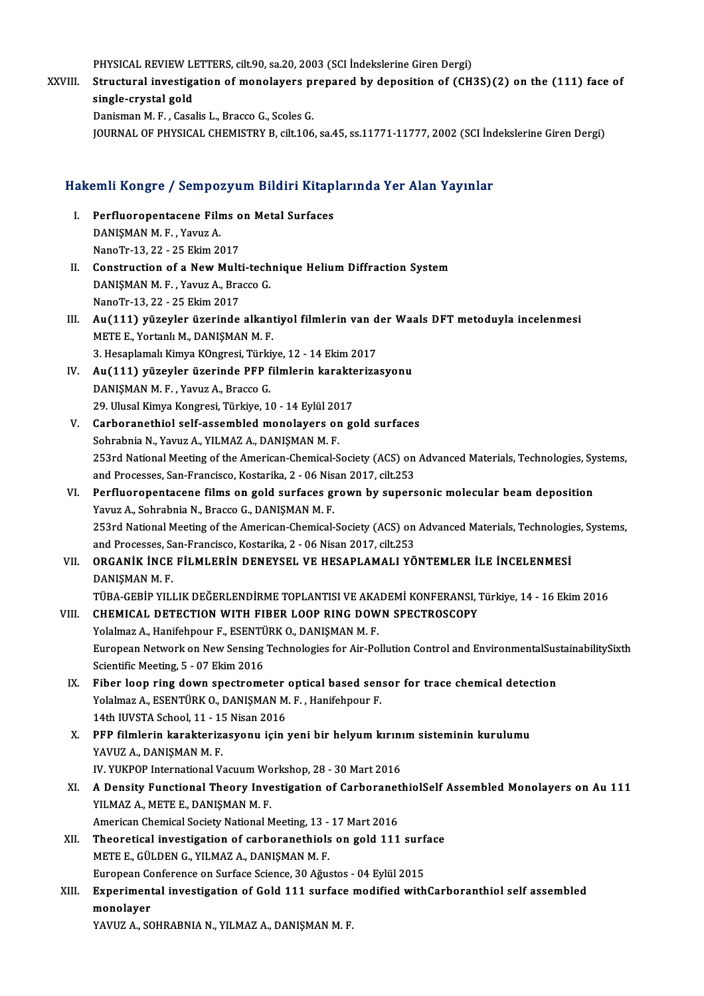PHYSICAL REVIEW LETTERS, cilt.90, sa.20, 2003 (SCI İndekslerine Giren Dergi)<br>Structural investigation of manalayars prepared by deposition of (CH)

XXVIII. Structural investigation of monolayers prepared by deposition of (CH3S)(2) on the (111) face of single-crystal gold PHYSICAL REVIEW LI<br>Structural investige<br>single-crystal gold<br>Donisman M-E - Casa

Danisman M.F., Casalis L., Bracco G., Scoles G.

JOURNAL OF PHYSICAL CHEMISTRY B, cilt.106, sa.45, ss.11771-11777, 2002 (SCI İndekslerine Giren Dergi)

# 100knal or Phrsical ChemisTRT B, cit.106, sa.45, ss.11771-11777, 2002 (Schiff<br>Hakemli Kongre / Sempozyum Bildiri Kitaplarında Yer Alan Yayınlar

- akemli Kongre / Sempozyum Bildiri Kitap<br>I. Perfluoropentacene Films on Metal Surfaces I. Perfluoropentacene Films on Metal Surfaces<br>DANISMAN M.F., Yavuz A. NanoTr-13,22 -25Ekim2017 DANIŞMAN M. F., Yavuz A.<br>NanoTr-13, 22 - 25 Ekim 2017<br>II. Construction of a New Multi-technique Helium Diffraction System<br>DANISMAN M. E. Yavug A. Prassa C
- NanoTr-13, 22 25 Ekim 2017<br>Construction of a New Multi-tech<br>DANIŞMAN M. F. , Yavuz A., Bracco G.<br>NanoTr 12, 22, ...25 Ekim 2017 Construction of a New Mult<br>DANIŞMAN M. F. , Yavuz A., Bra<br>NanoTr-13, 22 - 25 Ekim 2017<br>Au (111), vüzeyler üzeyinde DANIŞMAN M. F. , Yavuz A., Bracco G.<br>NanoTr-13, 22 - 25 Ekim 2017<br>III. Au(111) yüzeyler üzerinde alkantiyol filmlerin van der Waals DFT metoduyla incelenmesi
- METE E., Yortanlı M., DANIŞMAN M.F. Au(111) yüzeyler üzerinde alkantiyol filmlerin van d<br>METE E., Yortanlı M., DANIŞMAN M. F.<br>3. Hesaplamalı Kimya KOngresi, Türkiye, 12 - 14 Ekim 2017<br>Av(111) yüzeylen üzeninde PEP filmlerin kanaktariye METE E., Yortanlı M., DANIŞMAN M. F.<br>3. Hesaplamalı Kimya KOngresi, Türkiye, 12 - 14 Ekim 2017<br>IV. Au(111) yüzeyler üzerinde PFP filmlerin karakterizasyonu<br>DANISMAN M. E. Youwa A. Brasso G
- 3. Hesaplamalı Kimya KOngresi, Türki<br>Au(111) yüzeyler üzerinde PFP f<br>DANIŞMAN M. F. , Yavuz A., Bracco G.<br>29. Ulucal Kimya Kongresi, Türkiye 14 Au(111) yüzeyler üzerinde PFP filmlerin karakte<br>DANIŞMAN M. F. , Yavuz A., Bracco G.<br>29. Ulusal Kimya Kongresi, Türkiye, 10 - 14 Eylül 2017<br>Carboranathiol self assembled manalayers on gr DANIŞMAN M. F. , Yavuz A., Bracco G.<br>29. Ulusal Kimya Kongresi, Türkiye, 10 - 14 Eylül 2017<br>V. Carboranethiol self-assembled monolayers on gold surfaces
- Sohrabnia N., Yavuz A., YILMAZ A., DANIŞMAN M. F. Carboranethiol self-assembled monolayers on gold surfaces<br>Sohrabnia N., Yavuz A., YILMAZ A., DANIŞMAN M. F.<br>253rd National Meeting of the American-Chemical-Society (ACS) on Advanced Materials, Technologies, Systems,<br>and Pr Sohrabnia N., Yavuz A., YILMAZ A., DANIŞMAN M. F.<br>253rd National Meeting of the American-Chemical-Society (ACS) on<br>and Processes, San-Francisco, Kostarika, 2 - 06 Nisan 2017, cilt.253<br>Perfluerenentasene films en geld surfa 253rd National Meeting of the American-Chemical-Society (ACS) on Advanced Materials, Technologies, Sy<br>and Processes, San-Francisco, Kostarika, 2 - 06 Nisan 2017, cilt.253<br>VI. Perfluoropentacene films on gold surfaces grown
- and Processes, San-Francisco, Kostarika, 2 06 Nis.<br>Perfluoropentacene films on gold surfaces gi<br>Yavuz A., Sohrabnia N., Bracco G., DANIŞMAN M. F.<br>252rd National Meeting of the American Chemical. Perfluoropentacene films on gold surfaces grown by supersonic molecular beam deposition<br>Yavuz A., Sohrabnia N., Bracco G., DANIŞMAN M. F.<br>253rd National Meeting of the American-Chemical-Society (ACS) on Advanced Materials, Yavuz A., Sohrabnia N., Bracco G., DANIŞMAN M. F.<br>253rd National Meeting of the American-Chemical-Society (ACS) on Advanced Materials, Technologies, Systems,<br>and Processes, San-Francisco, Kostarika, 2 - 06 Nisan 2017, cilt 253rd National Meeting of the American-Chemical-Society (ACS) on Advanced Materials, Technologie<br>and Processes, San-Francisco, Kostarika, 2 - 06 Nisan 2017, cilt.253<br>VII. ORGANİK İNCE FİLMLERİN DENEYSEL VE HESAPLAMALI
- and Processes, Sa<br><mark>ORGANİK İNCE</mark><br>DANIŞMAN M. F.<br>TÜRA GERİR YU I DANIŞMAN M. F.<br>TÜBA-GEBİP YILLIK DEĞERLENDİRME TOPLANTISI VE AKADEMİ KONFERANSI, Türkiye, 14 - 16 Ekim 2016 DANIŞMAN M. F.<br>TÜBA-GEBİP YILLIK DEĞERLENDİRME TOPLANTISI VE AKADEMİ KONFERANSI, T<br>VIII. CHEMICAL DETECTION WITH FIBER LOOP RING DOWN SPECTROSCOPY<br>Valalmaz A. Hanifahnaur E. ESENTÜRK O. DANISMAN M. E

## TÜBA-GEBİP YILLIK DEĞERLENDİRME TOPLANTISI VE AKA<br>CHEMICAL DETECTION WITH FIBER LOOP RING DOW<br>Yolalmaz A., Hanifehpour F., ESENTÜRK O., DANIŞMAN M. F.<br>Furonean Naturali on Nau Sansing Technologies for Air Bo CHEMICAL DETECTION WITH FIBER LOOP RING DOWN SPECTROSCOPY<br>Yolalmaz A., Hanifehpour F., ESENTÜRK O., DANIŞMAN M. F.<br>European Network on New Sensing Technologies for Air-Pollution Control and EnvironmentalSustainabilitySixth Yolalmaz A., Hanifehpour F., ESENTÜ<br>European Network on New Sensing<br>Scientific Meeting, 5 - 07 Ekim 2016<br>Eiher Jeen ring down spectrome European Network on New Sensing Technologies for Air-Pollution Control and EnvironmentalSus<br>Scientific Meeting, 5 - 07 Ekim 2016<br>IX. Fiber loop ring down spectrometer optical based sensor for trace chemical detection<br>Volal

- Scientific Meeting, 5 07 Ekim 2016<br>Fiber loop ring down spectrometer optical based sen<br>Yolalmaz A., ESENTÜRK O., DANIŞMAN M. F. , Hanifehpour F.<br>14th UNSTA School 11 15 Nison 2016 Fiber loop ring down spectrometer<br>Yolalmaz A., ESENTÜRK O., DANIŞMAN M<br>14th IUVSTA School, 11 - 15 Nisan 2016<br>PEP filmlerin karakterizesyony isin Yolalmaz A., ESENTÜRK O., DANIŞMAN M. F. , Hanifehpour F.<br>14th IUVSTA School, 11 - 15 Nisan 2016<br>X. PFP filmlerin karakterizasyonu için yeni bir helyum kırınım sisteminin kurulumu<br>YAVIIZ A. DANISMAN M. F
- 14th IUVSTA School, 11 15 Nisan 2016<br>PFP filmlerin karakterizasyonu için yeni bir helyum kırın<br>YAVUZ A., DANIŞMAN M. F.<br>IV. YUKPOP International Vacuum Workshop, 28 30 Mart 2016 PFP filmlerin karakterizasyonu için yeni bir helyum kırını<br>YAVUZ A., DANIŞMAN M. F.<br>IV. YUKPOP International Vacuum Workshop, 28 - 30 Mart 2016<br>A Dongity Eunstional Theory Investigation of Carboranetl
- YAVUZ A., DANIŞMAN M. F.<br>IV. YUKPOP International Vacuum Workshop, 28 30 Mart 2016<br>XI. A Density Functional Theory Investigation of CarboranethiolSelf Assembled Monolayers on Au 111<br>XII MAZ A. METE E. DANISMAN M. F. IV. YUKPOP International Vacuum Wo<br>A Density Functional Theory Inve<br>YILMAZ A., METE E., DANIŞMAN M. F.<br>American Chemical Seciety National M A Density Functional Theory Investigation of Carboranet<br>YILMAZ A., METE E., DANIŞMAN M. F.<br>American Chemical Society National Meeting, 13 - 17 Mart 2016<br>Theoratical investigation of carboranethiols on gold 111 YILMAZ A., METE E., DANIŞMAN M. F.<br>American Chemical Society National Meeting, 13 - 17 Mart 2016<br>XII. Theoretical investigation of carboranethiols on gold 111 surface<br>METE E. CÜLDEN C. VILMAZ A. DANISMAN M. E.
	-
- American Chemical Society National Meeting, 13 17 Mart 2016<br>Theoretical investigation of carboranethiols on gold 111 surf<br>METE E., GÜLDEN G., YILMAZ A., DANIŞMAN M. F.<br>European Conference on Surface Science, 30 Ağustos -Theoretical investigation of carboranethiols on gold 111 surf<br>METE E., GÜLDEN G., YILMAZ A., DANIŞMAN M. F.<br>European Conference on Surface Science, 30 Ağustos - 04 Eylül 2015<br>Europimental investigation of Gold 111 surface
- METE E., GÜLDEN G., YILMAZ A., DANIŞMAN M. F.<br>European Conference on Surface Science, 30 Ağustos 04 Eylül 2015<br>XIII. Experimental investigation of Gold 111 surface modified withCarboranthiol self assembled<br>monolower European Co<br><mark>Experiment</mark><br>monolayer<br><sup>VAVU7</sup> A SC Experimental investigation of Gold 111 surface<br>monolayer<br>YAVUZ A., SOHRABNIA N., YILMAZ A., DANIŞMAN M. F.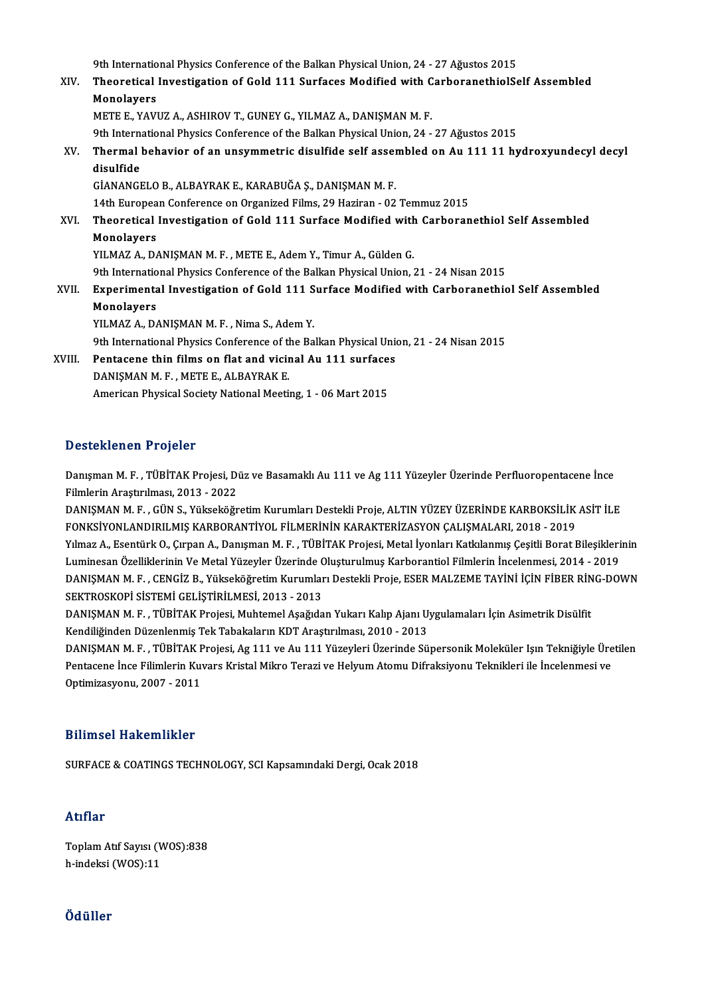9th International Physics Conference of the Balkan Physical Union, 24 - 27 Ağustos 2015<br>Theoratical Investigation of Cold 111 Surfaces Modified with CarboranethialSc

|        | 9th International Physics Conference of the Balkan Physical Union, 24 - 27 Ağustos 2015       |
|--------|-----------------------------------------------------------------------------------------------|
| XIV.   | Theoretical Investigation of Gold 111 Surfaces Modified with CarboranethiolSelf Assembled     |
|        | Monolayers                                                                                    |
|        | METE E., YAVUZ A., ASHIROV T., GUNEY G., YILMAZ A., DANIŞMAN M. F.                            |
|        | 9th International Physics Conference of the Balkan Physical Union, 24 - 27 Ağustos 2015       |
| XV.    | Thermal behavior of an unsymmetric disulfide self assembled on Au 111 11 hydroxyundecyl decyl |
|        | disulfide                                                                                     |
|        | GİANANGELO B., ALBAYRAK E., KARABUĞA Ş., DANIŞMAN M. F.                                       |
|        | 14th European Conference on Organized Films, 29 Haziran - 02 Temmuz 2015                      |
| XVI.   | Theoretical Investigation of Gold 111 Surface Modified with Carboranethiol Self Assembled     |
|        | Monolayers                                                                                    |
|        | YILMAZ A., DANIŞMAN M. F., METE E., Adem Y., Timur A., Gülden G.                              |
|        | 9th International Physics Conference of the Balkan Physical Union, 21 - 24 Nisan 2015         |
| XVII.  | Experimental Investigation of Gold 111 Surface Modified with Carboranethiol Self Assembled    |
|        | Monolayers                                                                                    |
|        | YILMAZ A., DANIŞMAN M. F., Nima S., Adem Y.                                                   |
|        | 9th International Physics Conference of the Balkan Physical Union, 21 - 24 Nisan 2015         |
| XVIII. | Pentacene thin films on flat and vicinal Au 111 surfaces                                      |
|        | DANISMAN M F, METE E, ALBAYRAK E                                                              |
|        | American Physical Society National Meeting, 1 - 06 Mart 2015                                  |
|        |                                                                                               |

## Desteklenen Projeler

Desteklenen Projeler<br>Danışman M. F. , TÜBİTAK Projesi, Düz ve Basamaklı Au 111 ve Ag 111 Yüzeyler Üzerinde Perfluoropentacene İnce<br>Filmlerin Arastırılması, 2012, 2022 *B* Bocomonon TTOJORI<br>Danışman M. F. , TÜBİTAK Projesi, Dı<br>Filmlerin Araştırılması, 2013 - 2022<br>DANISMAN M. E., CÜN S. Vülseköğr Danışman M. F. , TÜBİTAK Projesi, Düz ve Basamaklı Au 111 ve Ag 111 Yüzeyler Üzerinde Perfluoropentacene İnce<br>Filmlerin Araştırılması, 2013 - 2022<br>DANIŞMAN M. F. , GÜN S., Yükseköğretim Kurumları Destekli Proje, ALTIN YÜZE

Filmlerin Araştırılması, 2013 - 2022<br>DANIŞMAN M. F. , GÜN S., Yükseköğretim Kurumları Destekli Proje, ALTIN YÜZEY ÜZERİNDE KARBOKSİLİK<br>FONKSİYONLANDIRILMIŞ KARBORANTİYOL FİLMERİNİN KARAKTERİZASYON ÇALIŞMALARI, 2018 - 2019<br> DANIŞMAN M. F. , GÜN S., Yükseköğretim Kurumları Destekli Proje, ALTIN YÜZEY ÜZERİNDE KARBOKSİLİK ASİT İLE<br>FONKSİYONLANDIRILMIŞ KARBORANTİYOL FİLMERİNİN KARAKTERİZASYON ÇALIŞMALARI, 2018 - 2019<br>Yılmaz A., Esentürk O., Çırp FONKSİYONLANDIRILMIŞ KARBORANTİYOL FİLMERİNİN KARAKTERİZASYON ÇALIŞMALARI, 2018 - 2019<br>Yılmaz A., Esentürk O., Çırpan A., Danışman M. F. , TÜBİTAK Projesi, Metal İyonları Katkılanmış Çeşitli Borat Bileşikleri<br>Luminesan Öze Yılmaz A., Esentürk O., Çırpan A., Danışman M. F. , TÜBİTAK Projesi, Metal İyonları Katkılanmış Çeşitli Borat Bileşiklerinin<br>Luminesan Özelliklerinin Ve Metal Yüzeyler Üzerinde Oluşturulmuş Karborantiol Filmlerin İncelenme Luminesan Özelliklerinin Ve Metal Yüzeyler Üzerinde (<br>DANIŞMAN M. F. , CENGİZ B., Yükseköğretim Kurumlar<br>SEKTROSKOPİ SİSTEMİ GELİŞTİRİLMESİ, 2013 - 2013<br>DANISMAN M. E., TÜRİTAK Projesi, Muhtamal Asağıda DANIŞMAN M. F. , CENGİZ B., Yükseköğretim Kurumları Destekli Proje, ESER MALZEME TAYİNİ İÇİN FİBER RİN<br>SEKTROSKOPİ SİSTEMİ GELİŞTİRİLMESİ, 2013 - 2013<br>DANIŞMAN M. F. , TÜBİTAK Projesi, Muhtemel Aşağıdan Yukarı Kalıp Ajanı

SEKTROSKOPİ SİSTEMİ GELİŞTİRİLMESİ, 2013 - 2013<br>DANIŞMAN M. F. , TÜBİTAK Projesi, Muhtemel Aşağıdan Yukarı Kalıp Ajanı U<br>Kendiliğinden Düzenlenmiş Tek Tabakaların KDT Araştırılması, 2010 - 2013<br>DANISMAN M. E... TÜBİTAK Pro

Kendiliğinden Düzenlenmiş Tek Tabakaların KDT Araştırılması, 2010 - 2013<br>DANIŞMAN M. F. , TÜBİTAK Projesi, Ag 111 ve Au 111 Yüzeyleri Üzerinde Süpersonik Moleküler Işın Tekniğiyle Üretilen Kendiliğinden Düzenlenmiş Tek Tabakaların KDT Araştırılması, 2010 - 2013<br>DANIŞMAN M. F. , TÜBİTAK Projesi, Ag 111 ve Au 111 Yüzeyleri Üzerinde Süpersonik Moleküler Işın Tekniğiyle Üre<br>Pentacene İnce Filimlerin Kuvars Krist DANIŞMAN M. F. , TÜBİTAK F<br>Pentacene İnce Filimlerin Kuv<br>Optimizasyonu, 2007 - 2011 0ptimizasyonu, 2007 - 2011<br>Bilimsel Hakemlikler

SURFACE & COATINGS TECHNOLOGY, SCI Kapsamındaki Dergi, Ocak 2018

### Atıflar

Atıflar<br>Toplam Atıf Sayısı (WOS):838<br>b.indeksi (WOS):11 rrerrer<br>Toplam Atıf Sayısı (V<br>h-indeksi (WOS):11 h-indeksi (WOS):11<br>Ödüller